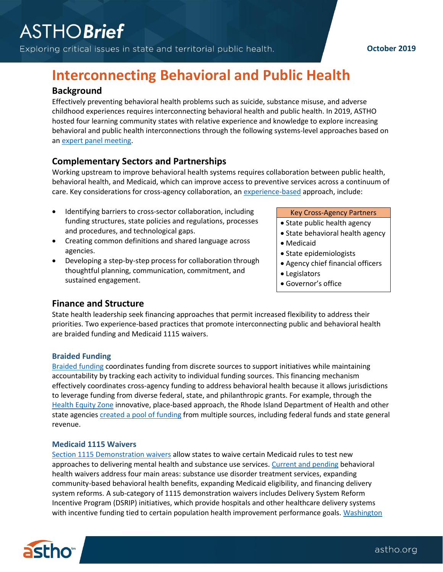Exploring critical issues in state and territorial public health.

# **Interconnecting Behavioral and Public Health**

# **Background**

Effectively preventing behavioral health problems such as suicide, substance misuse, and adverse childhood experiences requires interconnecting behavioral health and public health. In 2019, ASTHO hosted four learning community states with relative experience and knowledge to explore increasing behavioral and public health interconnections through the following systems-level approaches based on a[n expert panel meeting.](http://www.astho.org/ASTHOReports/ASTHO-Interconnecting-Expert-Panel-Meeting-Report/12-06-18/)

# **Complementary Sectors and Partnerships**

Working upstream to improve behavioral health systems requires collaboration between public health, behavioral health, and Medicaid, which can improve access to preventive services across a continuum of care. Key considerations for cross-agency collaboration, a[n experience-based](https://www.astho.org/StatePublicHealth/Using-Evidence-to-Improve-Public-Health-Outcomes/01-24-19/) approach, include:

- Identifying barriers to cross-sector collaboration, including funding structures, state policies and regulations, processes and procedures, and technological gaps.
- Creating common definitions and shared language across agencies.
- Developing a step-by-step process for collaboration through thoughtful planning, communication, commitment, and sustained engagement.

#### Key Cross-Agency Partners

- State public health agency
- State behavioral health agency
- Medicaid
- State epidemiologists
- Agency chief financial officers
- Legislators
- Governor's office

## **Finance and Structure**

State health leadership seek financing approaches that permit increased flexibility to address their priorities. Two experience-based practices that promote interconnecting public and behavioral health are braided funding and Medicaid 1115 waivers.

#### **Braided Funding**

[Braided](https://www.tfah.org/wp-content/uploads/2018/01/TFAH-Braiding-Blending-Compendium-FINAL.pdf) funding coordinates funding from discrete sources to support initiatives while maintaining accountability by tracking each activity to individual funding sources. This financing mechanism effectively coordinates cross-agency funding to address behavioral health because it allows jurisdictions to leverage funding from diverse federal, state, and philanthropic grants. For example, through the [Health Equity Zone](http://health.ri.gov/programs/detail.php?pgm_id=1108) innovative, place-based approach, the Rhode Island Department of Health and other state agencies [created a pool of](https://nashp.org/lessons-from-rhode-island-how-to-effectively-blend-braid-and-use-block-grant-funds-for-public-health-and-prevention/) funding from multiple sources, including federal funds and state general revenue.

#### **Medicaid 1115 Waivers**

[Section 1115 Demonstration waivers](https://www.medicaid.gov/medicaid/section-1115-demo/index.html) allow states to waive certain Medicaid rules to test new approaches to delivering mental health and substance use services[. Current and pending](https://www.medicaid.gov/medicaid/section-1115-demo/demonstration-and-waiver-list/index.html?sl=yes&fcf=&ap=a,p&auth_order=1115&usid=&sb=status_order) behavioral health waivers address four main areas: substance use disorder treatment services, expanding community-based behavioral health benefits, expanding Medicaid eligibility, and financing delivery system reforms. A sub-category of 1115 demonstration waivers includes Delivery System Reform Incentive Program (DSRIP) initiatives, which provide hospitals and other healthcare delivery systems with incentive funding tied to certain population health improvement performance goals. Washington



## **October 2019**